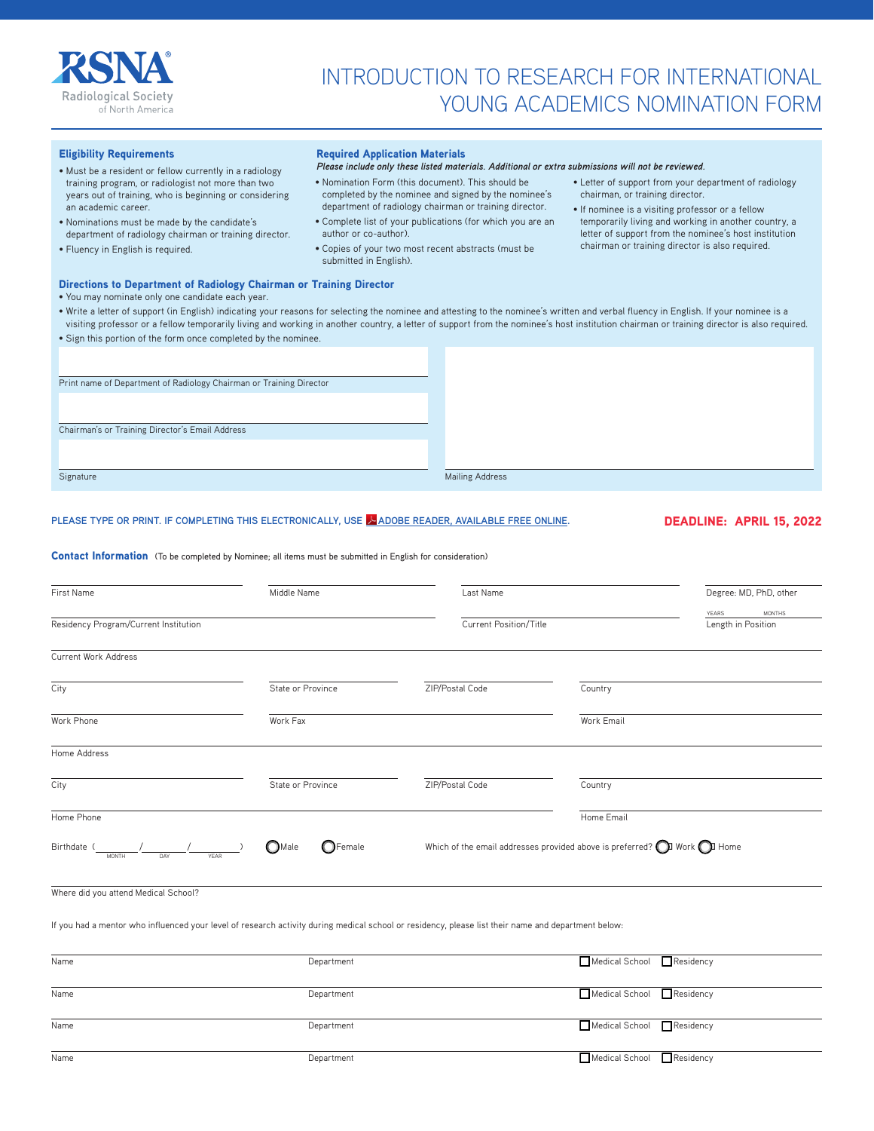

# INTRODUCTION TO RESEARCH FOR INTERNATIONAL YOUNG ACADEMICS NOMINATION FORM

## Eligibility Requirements

- Must be a resident or fellow currently in a radiology training program, or radiologist not more than two years out of training, who is beginning or considering an academic career.
- Nominations must be made by the candidate's department of radiology chairman or training director.
- Fluency in English is required.

#### Required Application Materials

#### *Please include only these listed materials. Additional or extra submissions will not be reviewed.*

- Nomination Form (this document). This should be completed by the nominee and signed by the nominee's department of radiology chairman or training director.
- Complete list of your publications (for which you are an author or co-author).
- Copies of your two most recent abstracts (must be submitted in English).
- Letter of support from your department of radiology chairman, or training director.
- If nominee is a visiting professor or a fellow temporarily living and working in another country, a letter of support from the nominee's host institution chairman or training director is also required.

# Directions to Department of Radiology Chairman or Training Director

#### • You may nominate only one candidate each year. • Write a letter of support (in English) indicating your reasons for selecting the nominee and attesting to the nominee's written and verbal fluency in English. If your nominee is a

| mine a rener or oupport mi Enghan marcanny your reasons for selecting the nomined and attesting to the nomined of written and verbat had reformer in Enghan. If your nomined to a | visiting professor or a fellow temporarily living and working in another country, a letter of support from the nominee's host institution chairman or training director is also required. |
|-----------------------------------------------------------------------------------------------------------------------------------------------------------------------------------|-------------------------------------------------------------------------------------------------------------------------------------------------------------------------------------------|
| • Sign this portion of the form once completed by the nominee.                                                                                                                    |                                                                                                                                                                                           |
|                                                                                                                                                                                   |                                                                                                                                                                                           |
|                                                                                                                                                                                   |                                                                                                                                                                                           |
| Print name of Department of Radiology Chairman or Training Director                                                                                                               |                                                                                                                                                                                           |
|                                                                                                                                                                                   |                                                                                                                                                                                           |
|                                                                                                                                                                                   |                                                                                                                                                                                           |
| Chairman's or Training Director's Email Address                                                                                                                                   |                                                                                                                                                                                           |
|                                                                                                                                                                                   |                                                                                                                                                                                           |
|                                                                                                                                                                                   |                                                                                                                                                                                           |

Signature Mailing Address **Mailing Address** 

### **PLEASE TYPE OR PRINT. IF COMPLETING THIS ELECTRONICALLY, US[E ADOBE READER, AVAILABLE FREE ONLINE.](http://get.adobe.com/reader/)** DEADLINE: APRIL 15, 2022

#### Contact Information (To be completed by Nominee; all items must be submitted in English for consideration)

| First Name                                                                                                                                          | Middle Name<br>Last Name             |                 |                                                                                           | Degree: MD, PhD, other |  |
|-----------------------------------------------------------------------------------------------------------------------------------------------------|--------------------------------------|-----------------|-------------------------------------------------------------------------------------------|------------------------|--|
| Residency Program/Current Institution                                                                                                               |                                      |                 | Current Position/Title                                                                    |                        |  |
| Current Work Address                                                                                                                                |                                      |                 |                                                                                           |                        |  |
| City                                                                                                                                                | State or Province                    | ZIP/Postal Code | Country                                                                                   |                        |  |
| Work Phone                                                                                                                                          | Work Fax                             |                 | Work Email                                                                                |                        |  |
| Home Address                                                                                                                                        |                                      |                 |                                                                                           |                        |  |
| City                                                                                                                                                | State or Province                    | ZIP/Postal Code | Country                                                                                   |                        |  |
| Home Phone                                                                                                                                          |                                      |                 | Home Email                                                                                |                        |  |
| Birthdate (<br>DAY<br><b>MONTH</b><br>YEAR                                                                                                          | $\bigcirc$ Female<br>$\bigcirc$ Male |                 | Which of the email addresses provided above is preferred? $\bigodot$ Work $\bigodot$ Home |                        |  |
| Where did you attend Medical School?                                                                                                                |                                      |                 |                                                                                           |                        |  |
| If you had a mentor who influenced your level of research activity during medical school or residency, please list their name and department below: |                                      |                 |                                                                                           |                        |  |
| Name                                                                                                                                                | Department                           |                 | Medical School                                                                            | $\Box$ Residency       |  |
| Name                                                                                                                                                | Department                           |                 | Medical School                                                                            | Residency              |  |
| Name                                                                                                                                                | Department                           |                 | Medical School                                                                            | $\Box$ Residency       |  |

Name Department Medical School Residency